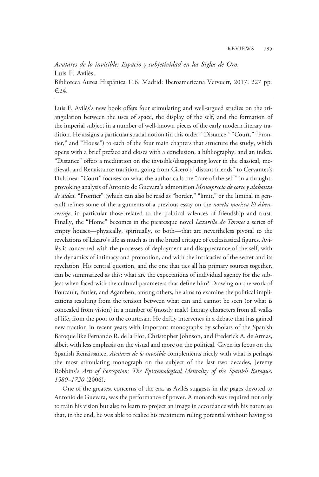## Avatares de lo invisible: Espacio y subjetividad en los Siglos de Oro. Luis F. Avilés. Biblioteca Áurea Hispánica 116. Madrid: Iberoamericana Vervuert, 2017. 227 pp.  $\epsilon$ 24.

Luis F. Avilés's new book offers four stimulating and well-argued studies on the triangulation between the uses of space, the display of the self, and the formation of the imperial subject in a number of well-known pieces of the early modern literary tradition. He assigns a particular spatial notion (in this order: "Distance," "Court," "Frontier," and "House") to each of the four main chapters that structure the study, which opens with a brief preface and closes with a conclusion, a bibliography, and an index. "Distance" offers a meditation on the invisible/disappearing lover in the classical, medieval, and Renaissance tradition, going from Cicero's "distant friends" to Cervantes's Dulcinea. "Court" focuses on what the author calls the "care of the self" in a thoughtprovoking analysis of Antonio de Guevara's admonition Menosprecio de corte y alabanza de aldea. "Frontier" (which can also be read as "border," "limit," or the liminal in general) refines some of the arguments of a previous essay on the novela morisca El Abencerraje, in particular those related to the political valences of friendship and trust. Finally, the "Home" becomes in the picaresque novel Lazarillo de Tormes a series of empty houses—physically, spiritually, or both—that are nevertheless pivotal to the revelations of Lázaro's life as much as in the brutal critique of ecclesiastical figures. Avilés is concerned with the processes of deployment and disappearance of the self, with the dynamics of intimacy and promotion, and with the intricacies of the secret and its revelation. His central question, and the one that ties all his primary sources together, can be summarized as this: what are the expectations of individual agency for the subject when faced with the cultural parameters that define him? Drawing on the work of Foucault, Butler, and Agamben, among others, he aims to examine the political implications resulting from the tension between what can and cannot be seen (or what is concealed from vision) in a number of (mostly male) literary characters from all walks of life, from the poor to the courtesan. He deftly intervenes in a debate that has gained new traction in recent years with important monographs by scholars of the Spanish Baroque like Fernando R. de la Flor, Christopher Johnson, and Frederick A. de Armas, albeit with less emphasis on the visual and more on the political. Given its focus on the Spanish Renaissance, Avatares de lo invisible complements nicely with what is perhaps the most stimulating monograph on the subject of the last two decades, Jeremy Robbins's Arts of Perception: The Epistemological Mentality of the Spanish Baroque, 1580–1720 (2006).

One of the greatest concerns of the era, as Avilés suggests in the pages devoted to Antonio de Guevara, was the performance of power. A monarch was required not only to train his vision but also to learn to project an image in accordance with his nature so that, in the end, he was able to realize his maximum ruling potential without having to